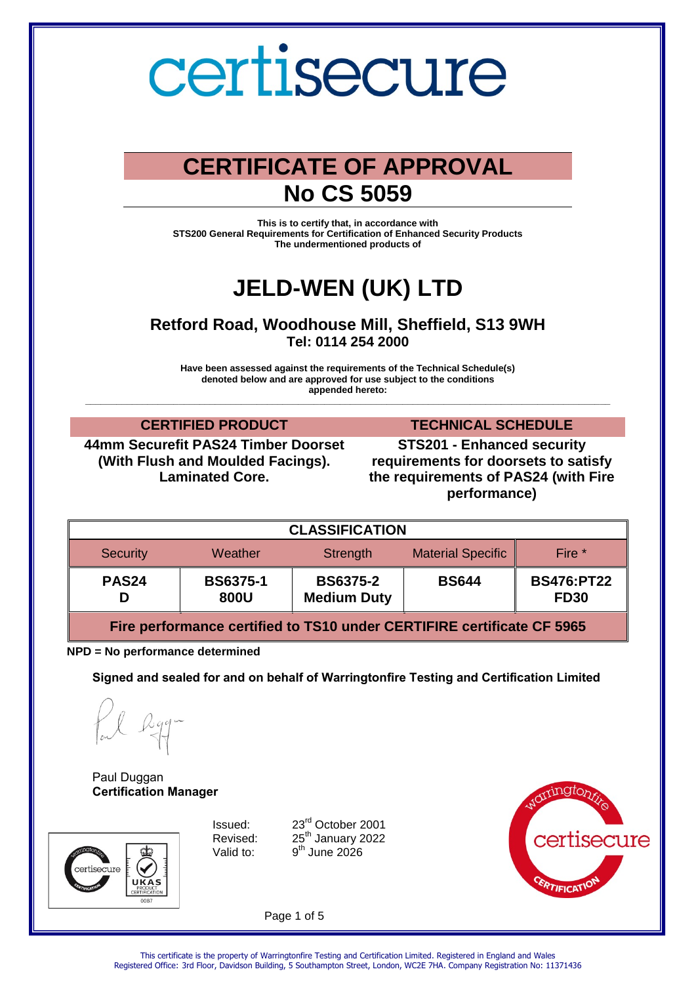### **CERTIFICATE OF APPROVAL No CS 5059**

**This is to certify that, in accordance with STS200 General Requirements for Certification of Enhanced Security Products The undermentioned products of** 

## **JELD-WEN (UK) LTD**

**Retford Road, Woodhouse Mill, Sheffield, S13 9WH Tel: 0114 254 2000** 

**Have been assessed against the requirements of the Technical Schedule(s) denoted below and are approved for use subject to the conditions appended hereto:** 

**\_\_\_\_\_\_\_\_\_\_\_\_\_\_\_\_\_\_\_\_\_\_\_\_\_\_\_\_\_\_\_\_\_\_\_\_\_\_\_\_\_\_\_\_\_\_\_\_\_\_\_\_\_\_\_\_\_\_\_\_\_\_\_\_\_\_\_\_\_\_\_\_\_\_\_\_\_\_\_\_\_\_\_\_\_\_\_\_\_\_\_\_\_\_\_\_\_\_\_\_\_**

**44mm Securefit PAS24 Timber Doorset (With Flush and Moulded Facings). Laminated Core.**

**CERTIFIED PRODUCT TECHNICAL SCHEDULE**

**STS201 - Enhanced security requirements for doorsets to satisfy the requirements of PAS24 (with Fire performance)**

| <b>CLASSIFICATION</b> |                         |                                       |                          |                                  |  |  |
|-----------------------|-------------------------|---------------------------------------|--------------------------|----------------------------------|--|--|
| <b>Security</b>       | Weather                 | Strength                              | <b>Material Specific</b> | Fire *                           |  |  |
| PAS <sub>24</sub>     | <b>BS6375-1</b><br>800U | <b>BS6375-2</b><br><b>Medium Duty</b> | <b>BS644</b>             | <b>BS476:PT22</b><br><b>FD30</b> |  |  |

**Fire performance certified to TS10 under CERTIFIRE certificate CF 5965**

**NPD = No performance determined** 

**Signed and sealed for and on behalf of Warringtonfire Testing and Certification Limited**

Paul Duggan **Certification Manager**



Valid to:

Issued: 23rd October 2001 Revised: 25<sup>th</sup> January 2022 <sup>th</sup> June 2026



Page 1 of 5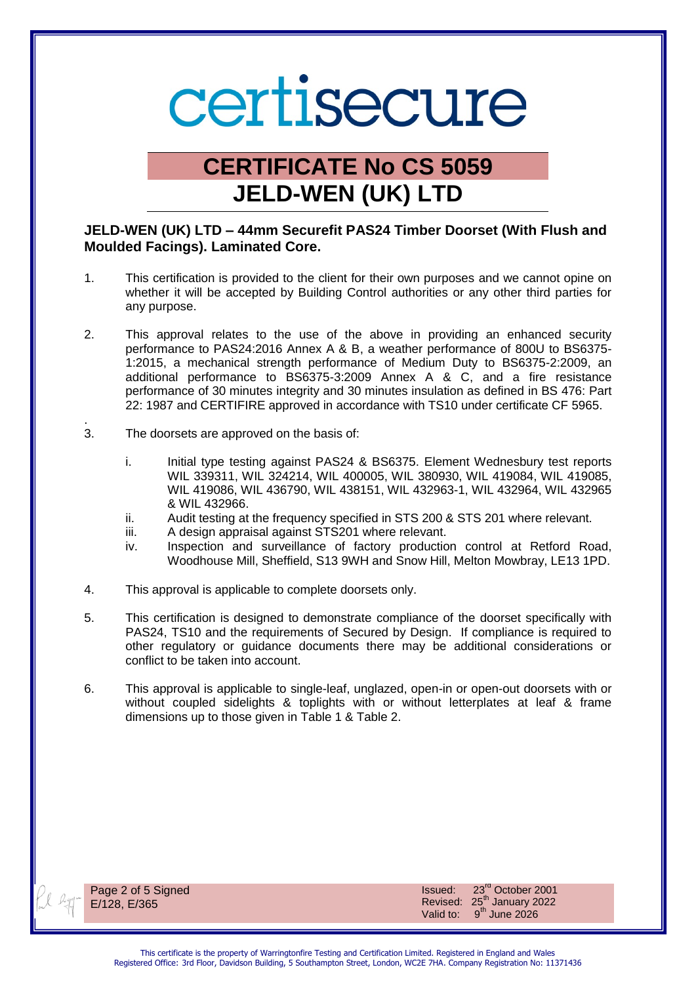### **CERTIFICATE No CS 5059 JELD-WEN (UK) LTD**

### **JELD-WEN (UK) LTD – 44mm Securefit PAS24 Timber Doorset (With Flush and Moulded Facings). Laminated Core.**

- 1. This certification is provided to the client for their own purposes and we cannot opine on whether it will be accepted by Building Control authorities or any other third parties for any purpose.
- 2. This approval relates to the use of the above in providing an enhanced security performance to PAS24:2016 Annex A & B, a weather performance of 800U to BS6375- 1:2015, a mechanical strength performance of Medium Duty to BS6375-2:2009, an additional performance to BS6375-3:2009 Annex A & C, and a fire resistance performance of 30 minutes integrity and 30 minutes insulation as defined in BS 476: Part 22: 1987 and CERTIFIRE approved in accordance with TS10 under certificate CF 5965.
- . 3. The doorsets are approved on the basis of:
	- i. Initial type testing against PAS24 & BS6375. Element Wednesbury test reports WIL 339311, WIL 324214, WIL 400005, WIL 380930, WIL 419084, WIL 419085, WIL 419086, WIL 436790, WIL 438151, WIL 432963-1, WIL 432964, WIL 432965 & WIL 432966.
	- ii. Audit testing at the frequency specified in STS 200 & STS 201 where relevant.
	- iii. A design appraisal against STS201 where relevant.
	- iv. Inspection and surveillance of factory production control at Retford Road, Woodhouse Mill, Sheffield, S13 9WH and Snow Hill, Melton Mowbray, LE13 1PD.
- 4. This approval is applicable to complete doorsets only.
- 5. This certification is designed to demonstrate compliance of the doorset specifically with PAS24, TS10 and the requirements of Secured by Design. If compliance is required to other regulatory or guidance documents there may be additional considerations or conflict to be taken into account.
- 6. This approval is applicable to single-leaf, unglazed, open-in or open-out doorsets with or without coupled sidelights & toplights with or without letterplates at leaf & frame dimensions up to those given in Table 1 & Table 2.



Page 2 of 5 Signed E/128, E/365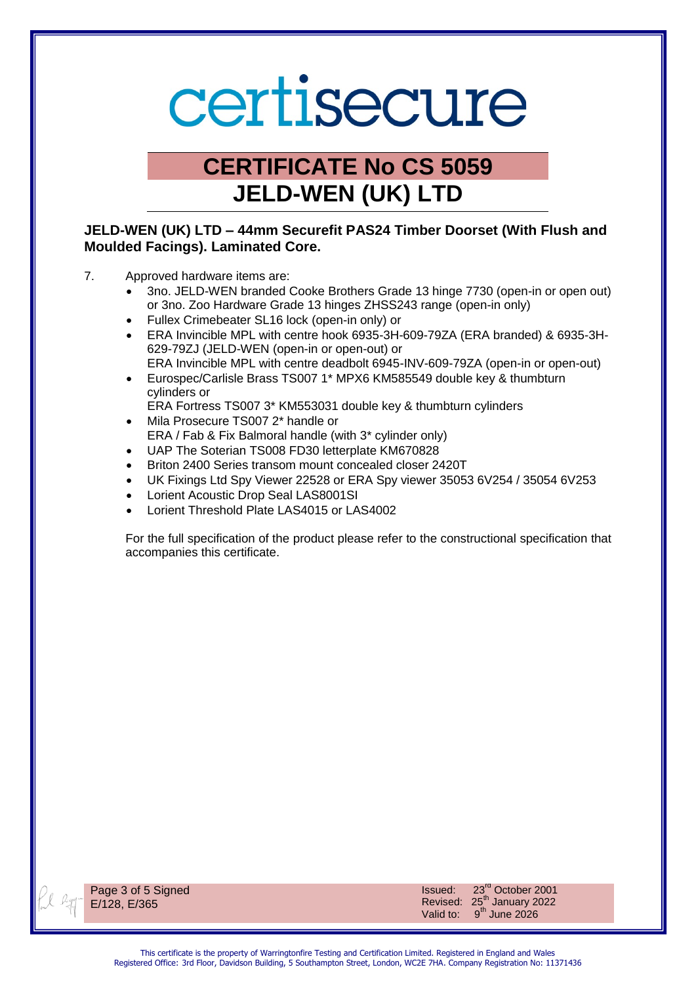### **CERTIFICATE No CS 5059 JELD-WEN (UK) LTD**

### **JELD-WEN (UK) LTD – 44mm Securefit PAS24 Timber Doorset (With Flush and Moulded Facings). Laminated Core.**

- 7. Approved hardware items are:
	- 3no. JELD-WEN branded Cooke Brothers Grade 13 hinge 7730 (open-in or open out) or 3no. Zoo Hardware Grade 13 hinges ZHSS243 range (open-in only)
	- Fullex Crimebeater SL16 lock (open-in only) or
	- ERA Invincible MPL with centre hook 6935-3H-609-79ZA (ERA branded) & 6935-3H-629-79ZJ (JELD-WEN (open-in or open-out) or ERA Invincible MPL with centre deadbolt 6945-INV-609-79ZA (open-in or open-out)
	- Eurospec/Carlisle Brass TS007 1\* MPX6 KM585549 double key & thumbturn cylinders or
	- ERA Fortress TS007 3\* KM553031 double key & thumbturn cylinders
	- Mila Prosecure TS007 2\* handle or ERA / Fab & Fix Balmoral handle (with 3\* cylinder only)
	- UAP The Soterian TS008 FD30 letterplate KM670828
	- Briton 2400 Series transom mount concealed closer 2420T
	- UK Fixings Ltd Spy Viewer 22528 or ERA Spy viewer 35053 6V254 / 35054 6V253
	- Lorient Acoustic Drop Seal LAS8001SI
	- Lorient Threshold Plate LAS4015 or LAS4002

For the full specification of the product please refer to the constructional specification that accompanies this certificate.



Page 3 of 5 Signed E/128, E/365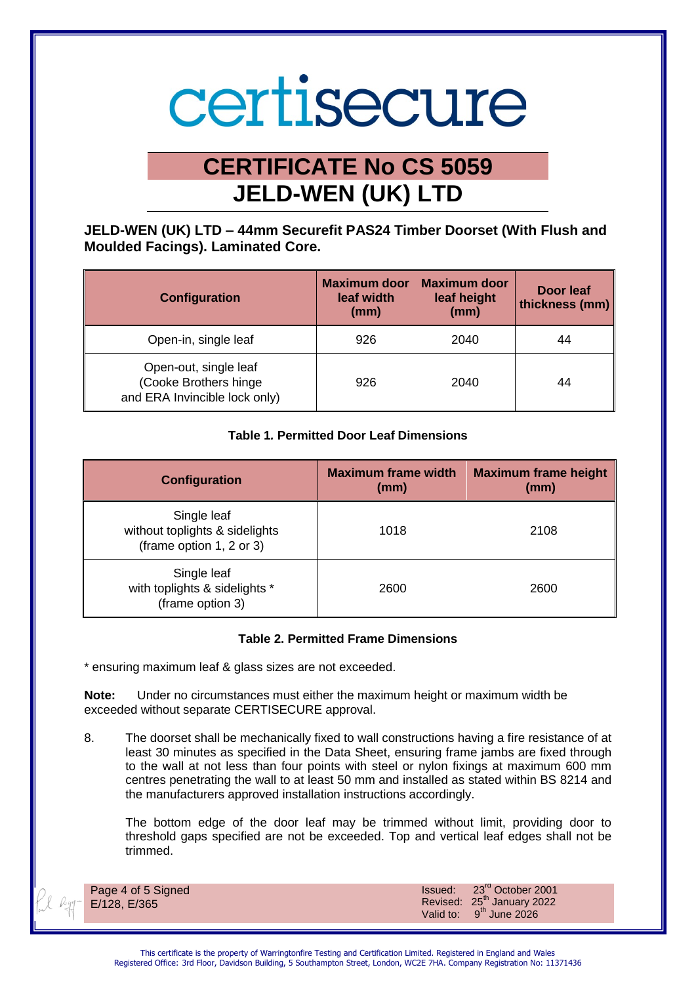### **CERTIFICATE No CS 5059 JELD-WEN (UK) LTD**

**JELD-WEN (UK) LTD – 44mm Securefit PAS24 Timber Doorset (With Flush and Moulded Facings). Laminated Core.** 

| Configuration                                                                   | <b>Maximum door</b><br>leaf width<br>(mm) | <b>Maximum door</b><br>leaf height<br>(mm) | Door leaf<br>thickness (mm) |
|---------------------------------------------------------------------------------|-------------------------------------------|--------------------------------------------|-----------------------------|
| Open-in, single leaf                                                            | 926                                       | 2040                                       | 44                          |
| Open-out, single leaf<br>(Cooke Brothers hinge<br>and ERA Invincible lock only) | 926                                       | 2040                                       | 44                          |

#### **Table 1***.* **Permitted Door Leaf Dimensions**

| Configuration                                                             | <b>Maximum frame width</b><br>(mm) | <b>Maximum frame height</b><br>(mm) |
|---------------------------------------------------------------------------|------------------------------------|-------------------------------------|
| Single leaf<br>without toplights & sidelights<br>(frame option 1, 2 or 3) | 1018                               | 2108                                |
| Single leaf<br>with toplights & sidelights *<br>(frame option 3)          | 2600                               | 2600                                |

#### **Table 2. Permitted Frame Dimensions**

\* ensuring maximum leaf & glass sizes are not exceeded.

**Note:** Under no circumstances must either the maximum height or maximum width be exceeded without separate CERTISECURE approval.

8. The doorset shall be mechanically fixed to wall constructions having a fire resistance of at least 30 minutes as specified in the Data Sheet, ensuring frame jambs are fixed through to the wall at not less than four points with steel or nylon fixings at maximum 600 mm centres penetrating the wall to at least 50 mm and installed as stated within BS 8214 and the manufacturers approved installation instructions accordingly.

The bottom edge of the door leaf may be trimmed without limit, providing door to threshold gaps specified are not be exceeded. Top and vertical leaf edges shall not be trimmed.

Page 4 of 5 Signed E/128, E/365

Issued: 23rd October 2001 Revised: 25<sup>th</sup> January 2022 Valid to:  $9^{th}$  June 2026